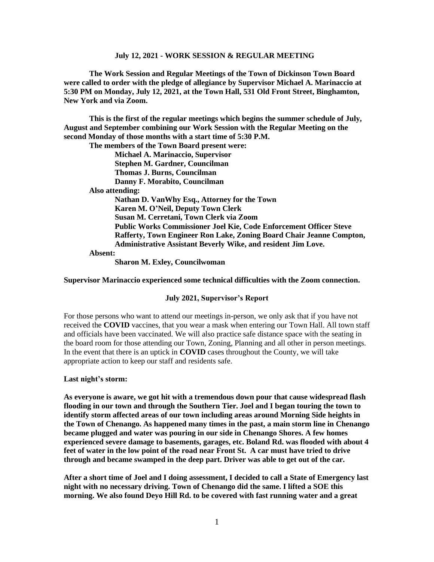**The Work Session and Regular Meetings of the Town of Dickinson Town Board were called to order with the pledge of allegiance by Supervisor Michael A. Marinaccio at 5:30 PM on Monday, July 12, 2021, at the Town Hall, 531 Old Front Street, Binghamton, New York and via Zoom.**

**This is the first of the regular meetings which begins the summer schedule of July, August and September combining our Work Session with the Regular Meeting on the second Monday of those months with a start time of 5:30 P.M.**

**The members of the Town Board present were:**

**Michael A. Marinaccio, Supervisor Stephen M. Gardner, Councilman Thomas J. Burns, Councilman Danny F. Morabito, Councilman**

 **Also attending:**

**Nathan D. VanWhy Esq., Attorney for the Town Karen M. O'Neil, Deputy Town Clerk Susan M. Cerretani, Town Clerk via Zoom Public Works Commissioner Joel Kie, Code Enforcement Officer Steve Rafferty, Town Engineer Ron Lake, Zoning Board Chair Jeanne Compton, Administrative Assistant Beverly Wike, and resident Jim Love. Absent:**

**Sharon M. Exley, Councilwoman**

**Supervisor Marinaccio experienced some technical difficulties with the Zoom connection.**

#### **July 2021, Supervisor's Report**

For those persons who want to attend our meetings in-person, we only ask that if you have not received the **COVID** vaccines, that you wear a mask when entering our Town Hall. All town staff and officials have been vaccinated. We will also practice safe distance space with the seating in the board room for those attending our Town, Zoning, Planning and all other in person meetings. In the event that there is an uptick in **COVID** cases throughout the County, we will take appropriate action to keep our staff and residents safe.

**Last night's storm:**

**As everyone is aware, we got hit with a tremendous down pour that cause widespread flash flooding in our town and through the Southern Tier. Joel and I began touring the town to identify storm affected areas of our town including areas around Morning Side heights in the Town of Chenango. As happened many times in the past, a main storm line in Chenango became plugged and water was pouring in our side in Chenango Shores. A few homes experienced severe damage to basements, garages, etc. Boland Rd. was flooded with about 4 feet of water in the low point of the road near Front St. A car must have tried to drive through and became swamped in the deep part. Driver was able to get out of the car.** 

**After a short time of Joel and I doing assessment, I decided to call a State of Emergency last night with no necessary driving. Town of Chenango did the same. I lifted a SOE this morning. We also found Deyo Hill Rd. to be covered with fast running water and a great**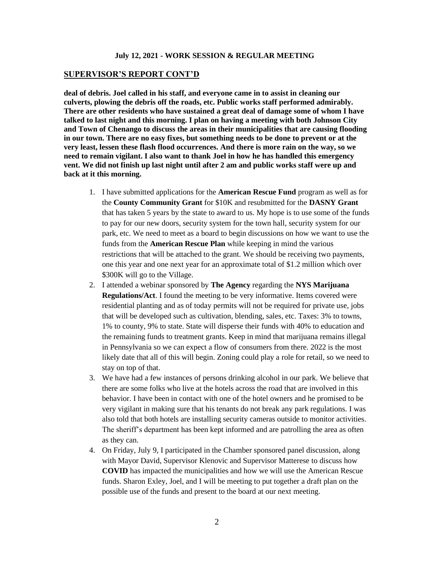### **SUPERVISOR'S REPORT CONT'D**

**deal of debris. Joel called in his staff, and everyone came in to assist in cleaning our culverts, plowing the debris off the roads, etc. Public works staff performed admirably. There are other residents who have sustained a great deal of damage some of whom I have talked to last night and this morning. I plan on having a meeting with both Johnson City and Town of Chenango to discuss the areas in their municipalities that are causing flooding in our town. There are no easy fixes, but something needs to be done to prevent or at the very least, lessen these flash flood occurrences. And there is more rain on the way, so we need to remain vigilant. I also want to thank Joel in how he has handled this emergency vent. We did not finish up last night until after 2 am and public works staff were up and back at it this morning.** 

- 1. I have submitted applications for the **American Rescue Fund** program as well as for the **County Community Grant** for \$10K and resubmitted for the **DASNY Grant** that has taken 5 years by the state to award to us. My hope is to use some of the funds to pay for our new doors, security system for the town hall, security system for our park, etc. We need to meet as a board to begin discussions on how we want to use the funds from the **American Rescue Plan** while keeping in mind the various restrictions that will be attached to the grant. We should be receiving two payments, one this year and one next year for an approximate total of \$1.2 million which over \$300K will go to the Village.
- 2. I attended a webinar sponsored by **The Agency** regarding the **NYS Marijuana Regulations/Act**. I found the meeting to be very informative. Items covered were residential planting and as of today permits will not be required for private use, jobs that will be developed such as cultivation, blending, sales, etc. Taxes: 3% to towns, 1% to county, 9% to state. State will disperse their funds with 40% to education and the remaining funds to treatment grants. Keep in mind that marijuana remains illegal in Pennsylvania so we can expect a flow of consumers from there. 2022 is the most likely date that all of this will begin. Zoning could play a role for retail, so we need to stay on top of that.
- 3. We have had a few instances of persons drinking alcohol in our park. We believe that there are some folks who live at the hotels across the road that are involved in this behavior. I have been in contact with one of the hotel owners and he promised to be very vigilant in making sure that his tenants do not break any park regulations. I was also told that both hotels are installing security cameras outside to monitor activities. The sheriff's department has been kept informed and are patrolling the area as often as they can.
- 4. On Friday, July 9, I participated in the Chamber sponsored panel discussion, along with Mayor David, Supervisor Klenovic and Supervisor Matterese to discuss how **COVID** has impacted the municipalities and how we will use the American Rescue funds. Sharon Exley, Joel, and I will be meeting to put together a draft plan on the possible use of the funds and present to the board at our next meeting.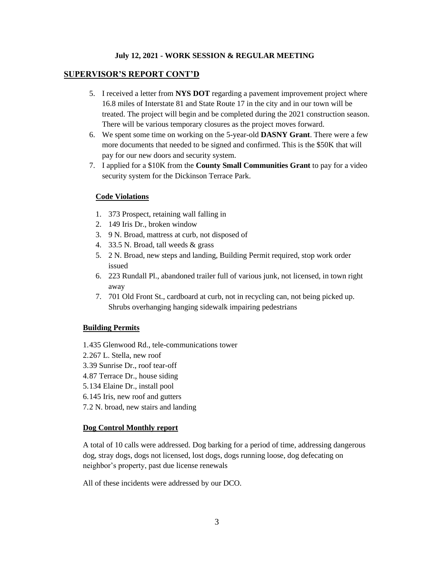### **SUPERVISOR'S REPORT CONT'D**

- 5. I received a letter from **NYS DOT** regarding a pavement improvement project where 16.8 miles of Interstate 81 and State Route 17 in the city and in our town will be treated. The project will begin and be completed during the 2021 construction season. There will be various temporary closures as the project moves forward.
- 6. We spent some time on working on the 5-year-old **DASNY Grant**. There were a few more documents that needed to be signed and confirmed. This is the \$50K that will pay for our new doors and security system.
- 7. I applied for a \$10K from the **County Small Communities Grant** to pay for a video security system for the Dickinson Terrace Park.

### **Code Violations**

- 1. 373 Prospect, retaining wall falling in
- 2. 149 Iris Dr., broken window
- 3. 9 N. Broad, mattress at curb, not disposed of
- 4. 33.5 N. Broad, tall weeds & grass
- 5. 2 N. Broad, new steps and landing, Building Permit required, stop work order issued
- 6. 223 Rundall Pl., abandoned trailer full of various junk, not licensed, in town right away
- 7. 701 Old Front St., cardboard at curb, not in recycling can, not being picked up. Shrubs overhanging hanging sidewalk impairing pedestrians

### **Building Permits**

- 1.435 Glenwood Rd., tele-communications tower
- 2.267 L. Stella, new roof
- 3.39 Sunrise Dr., roof tear-off
- 4.87 Terrace Dr., house siding
- 5.134 Elaine Dr., install pool
- 6.145 Iris, new roof and gutters
- 7.2 N. broad, new stairs and landing

### **Dog Control Monthly report**

A total of 10 calls were addressed. Dog barking for a period of time, addressing dangerous dog, stray dogs, dogs not licensed, lost dogs, dogs running loose, dog defecating on neighbor's property, past due license renewals

All of these incidents were addressed by our DCO.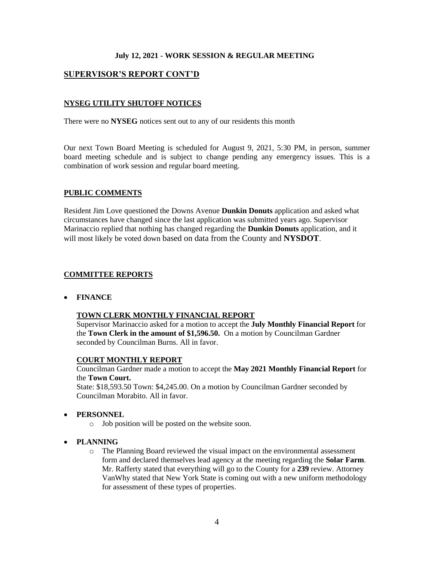# **SUPERVISOR'S REPORT CONT'D**

# **NYSEG UTILITY SHUTOFF NOTICES**

There were no **NYSEG** notices sent out to any of our residents this month

Our next Town Board Meeting is scheduled for August 9, 2021, 5:30 PM, in person, summer board meeting schedule and is subject to change pending any emergency issues. This is a combination of work session and regular board meeting.

### **PUBLIC COMMENTS**

Resident Jim Love questioned the Downs Avenue **Dunkin Donuts** application and asked what circumstances have changed since the last application was submitted years ago. Supervisor Marinaccio replied that nothing has changed regarding the **Dunkin Donuts** application, and it will most likely be voted down based on data from the County and **NYSDOT**.

### **COMMITTEE REPORTS**

• **FINANCE**

### **TOWN CLERK MONTHLY FINANCIAL REPORT**

Supervisor Marinaccio asked for a motion to accept the **July Monthly Financial Report** for the **Town Clerk in the amount of \$1,596.50.** On a motion by Councilman Gardner seconded by Councilman Burns. All in favor.

### **COURT MONTHLY REPORT**

Councilman Gardner made a motion to accept the **May 2021 Monthly Financial Report** for the **Town Court.**

State: \$18,593.50 Town: \$4,245.00. On a motion by Councilman Gardner seconded by Councilman Morabito. All in favor.

### • **PERSONNEL**

- o Job position will be posted on the website soon.
- **PLANNING**
	- o The Planning Board reviewed the visual impact on the environmental assessment form and declared themselves lead agency at the meeting regarding the **Solar Farm**. Mr. Rafferty stated that everything will go to the County for a **239** review. Attorney VanWhy stated that New York State is coming out with a new uniform methodology for assessment of these types of properties.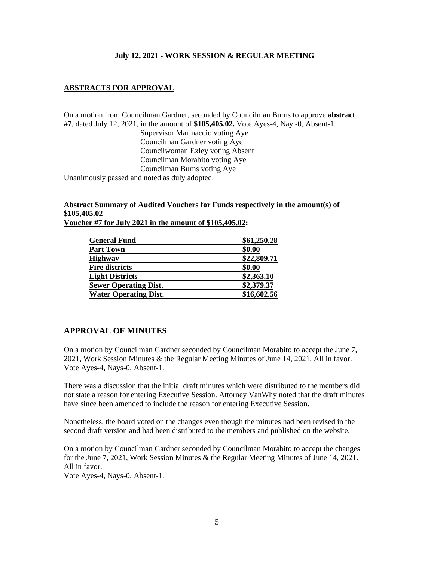# **ABSTRACTS FOR APPROVAL**

On a motion from Councilman Gardner, seconded by Councilman Burns to approve **abstract #7**, dated July 12, 2021, in the amount of **\$105,405.02.** Vote Ayes-4, Nay -0, Absent-1. Supervisor Marinaccio voting Aye Councilman Gardner voting Aye Councilwoman Exley voting Absent Councilman Morabito voting Aye Councilman Burns voting Aye Unanimously passed and noted as duly adopted.

### **Abstract Summary of Audited Vouchers for Funds respectively in the amount(s) of \$105,405.02 Voucher #7 for July 2021 in the amount of \$105,405.02:**

| \$61,250.28 |
|-------------|
| \$0.00      |
| \$22,809.71 |
| \$0.00      |
| \$2,363.10  |
| \$2,379.37  |
| \$16,602.56 |
|             |

# **APPROVAL OF MINUTES**

On a motion by Councilman Gardner seconded by Councilman Morabito to accept the June 7, 2021, Work Session Minutes & the Regular Meeting Minutes of June 14, 2021. All in favor. Vote Ayes-4, Nays-0, Absent-1.

There was a discussion that the initial draft minutes which were distributed to the members did not state a reason for entering Executive Session. Attorney VanWhy noted that the draft minutes have since been amended to include the reason for entering Executive Session.

Nonetheless, the board voted on the changes even though the minutes had been revised in the second draft version and had been distributed to the members and published on the website.

On a motion by Councilman Gardner seconded by Councilman Morabito to accept the changes for the June 7, 2021, Work Session Minutes & the Regular Meeting Minutes of June 14, 2021. All in favor. Vote Ayes-4, Nays-0, Absent-1.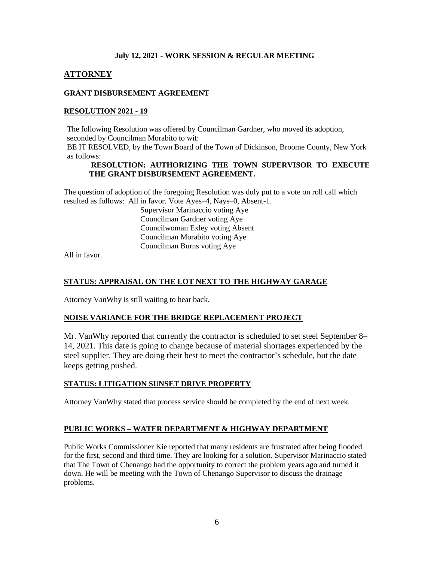# **ATTORNEY**

# **GRANT DISBURSEMENT AGREEMENT**

# **RESOLUTION 2021 - 19**

The following Resolution was offered by Councilman Gardner, who moved its adoption, seconded by Councilman Morabito to wit: BE IT RESOLVED, by the Town Board of the Town of Dickinson, Broome County, New York as follows:

### **RESOLUTION: AUTHORIZING THE TOWN SUPERVISOR TO EXECUTE THE GRANT DISBURSEMENT AGREEMENT.**

The question of adoption of the foregoing Resolution was duly put to a vote on roll call which resulted as follows: All in favor. Vote Ayes–4, Nays–0, Absent-1.

Supervisor Marinaccio voting Aye Councilman Gardner voting Aye Councilwoman Exley voting Absent Councilman Morabito voting Aye Councilman Burns voting Aye

All in favor.

# **STATUS: APPRAISAL ON THE LOT NEXT TO THE HIGHWAY GARAGE**

Attorney VanWhy is still waiting to hear back.

# **NOISE VARIANCE FOR THE BRIDGE REPLACEMENT PROJECT**

Mr. VanWhy reported that currently the contractor is scheduled to set steel September 8– 14, 2021. This date is going to change because of material shortages experienced by the steel supplier. They are doing their best to meet the contractor's schedule, but the date keeps getting pushed.

# **STATUS: LITIGATION SUNSET DRIVE PROPERTY**

Attorney VanWhy stated that process service should be completed by the end of next week.

# **PUBLIC WORKS – WATER DEPARTMENT & HIGHWAY DEPARTMENT**

Public Works Commissioner Kie reported that many residents are frustrated after being flooded for the first, second and third time. They are looking for a solution. Supervisor Marinaccio stated that The Town of Chenango had the opportunity to correct the problem years ago and turned it down. He will be meeting with the Town of Chenango Supervisor to discuss the drainage problems.